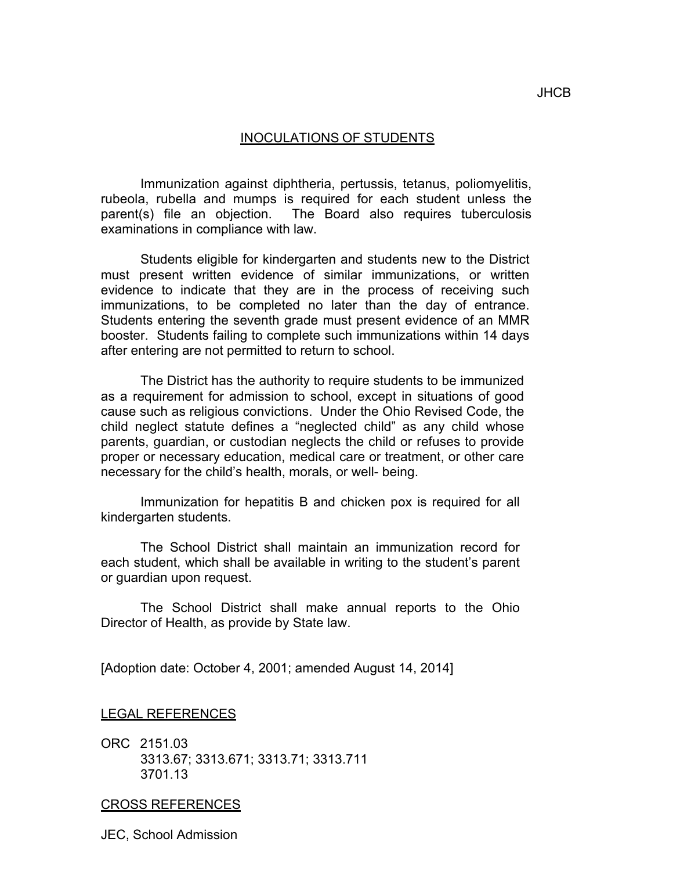## INOCULATIONS OF STUDENTS

 Immunization against diphtheria, pertussis, tetanus, poliomyelitis, rubeola, rubella and mumps is required for each student unless the parent(s) file an objection. The Board also requires tuberculosis examinations in compliance with law.

 Students eligible for kindergarten and students new to the District must present written evidence of similar immunizations, or written evidence to indicate that they are in the process of receiving such immunizations, to be completed no later than the day of entrance. Students entering the seventh grade must present evidence of an MMR booster. Students failing to complete such immunizations within 14 days after entering are not permitted to return to school.

 The District has the authority to require students to be immunized as a requirement for admission to school, except in situations of good cause such as religious convictions. Under the Ohio Revised Code, the child neglect statute defines a "neglected child" as any child whose parents, guardian, or custodian neglects the child or refuses to provide proper or necessary education, medical care or treatment, or other care necessary for the child's health, morals, or well- being.

 Immunization for hepatitis B and chicken pox is required for all kindergarten students.

 The School District shall maintain an immunization record for each student, which shall be available in writing to the student's parent or guardian upon request.

 The School District shall make annual reports to the Ohio Director of Health, as provide by State law.

[Adoption date: October 4, 2001; amended August 14, 2014]

LEGAL REFERENCES

 ORC 2151.03 3313.67; 3313.671; 3313.71; 3313.711 3701.13

## CROSS REFERENCES

JEC, School Admission